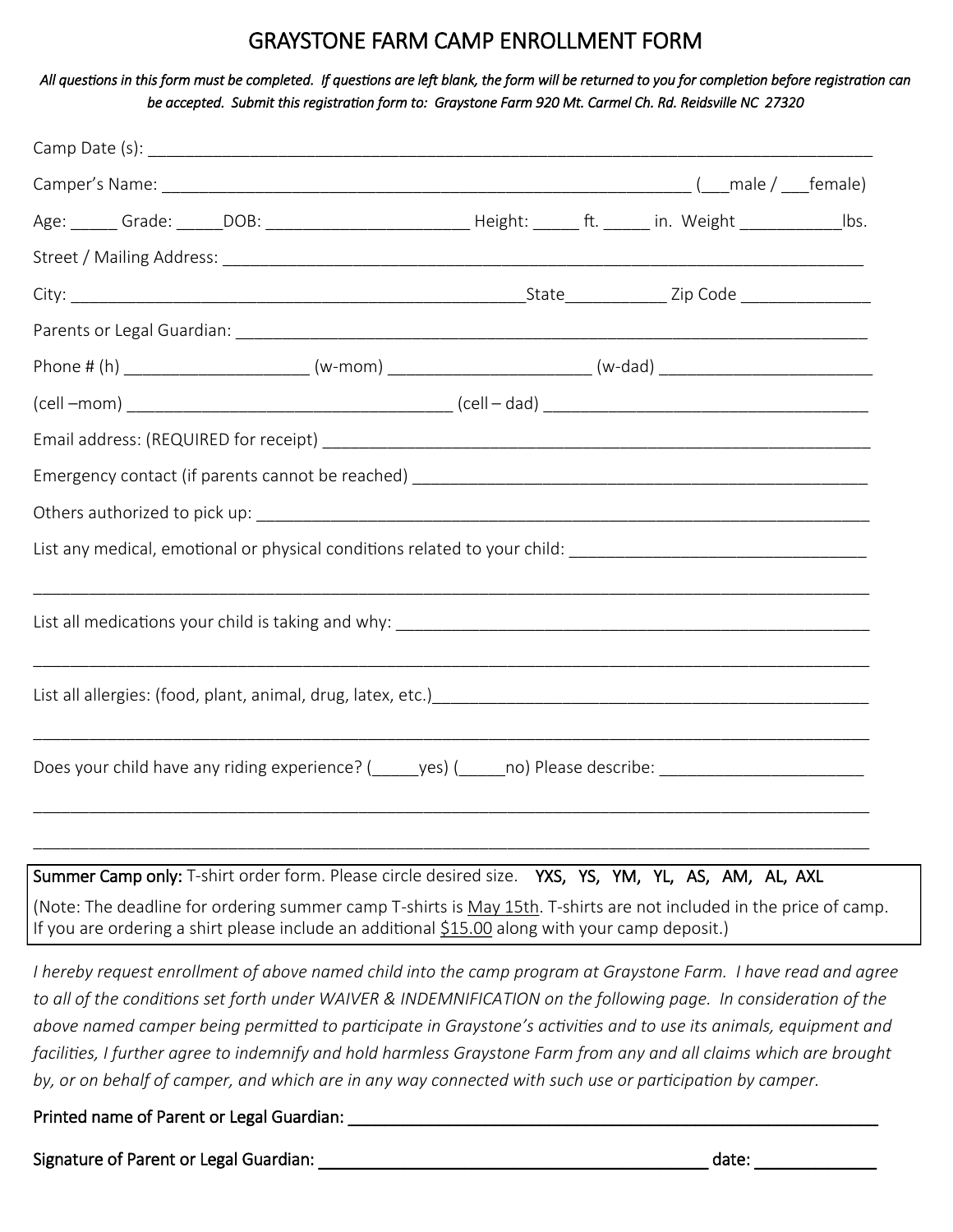# GRAYSTONE FARM CAMP ENROLLMENT FORM

*All questions in this form must be completed. If questions are left blank, the form will be returned to you for completion before registration can be accepted. Submit this registration form to: Graystone Farm 920 Mt. Carmel Ch. Rd. Reidsville NC 27320* 

| Age: ______ Grade: ______DOB: _________________________________Height: _______ ft. _______ in. Weight ________________Ibs. |  |  |
|----------------------------------------------------------------------------------------------------------------------------|--|--|
|                                                                                                                            |  |  |
|                                                                                                                            |  |  |
|                                                                                                                            |  |  |
| Phone # (h) _____________________________(w-mom) _______________________________(w-dad) ______________________             |  |  |
|                                                                                                                            |  |  |
|                                                                                                                            |  |  |
|                                                                                                                            |  |  |
|                                                                                                                            |  |  |
|                                                                                                                            |  |  |
|                                                                                                                            |  |  |
|                                                                                                                            |  |  |
|                                                                                                                            |  |  |
| List all allergies: (food, plant, animal, drug, latex, etc.) [19] [2010] [2010] [2010] [2010] [2010] [2010] [2010] [       |  |  |
|                                                                                                                            |  |  |
| Does your child have any riding experience? (______yes) (_____no) Please describe: __________________________              |  |  |
|                                                                                                                            |  |  |
|                                                                                                                            |  |  |

Summer Camp only: T-shirt order form. Please circle desired size. YXS, YS, YM, YL, AS, AM, AL, AXL (Note: The deadline for ordering summer camp T-shirts is May 15th. T-shirts are not included in the price of camp. If you are ordering a shirt please include an additional  $$15.00$  along with your camp deposit.)

*I hereby request enrollment of above named child into the camp program at Graystone Farm. I have read and agree to all of the conditions set forth under WAIVER & INDEMNIFICATION on the following page. In consideration of the above named camper being permitted to participate in Graystone's activities and to use its animals, equipment and facilities, I further agree to indemnify and hold harmless Graystone Farm from any and all claims which are brought by, or on behalf of camper, and which are in any way connected with such use or participation by camper.*

Printed name of Parent or Legal Guardian:

Signature of Parent or Legal Guardian: \_\_\_\_\_\_\_\_\_\_\_\_\_\_\_\_\_\_\_\_\_\_\_\_\_\_\_\_\_\_\_\_ date: \_\_\_\_\_\_\_\_\_\_